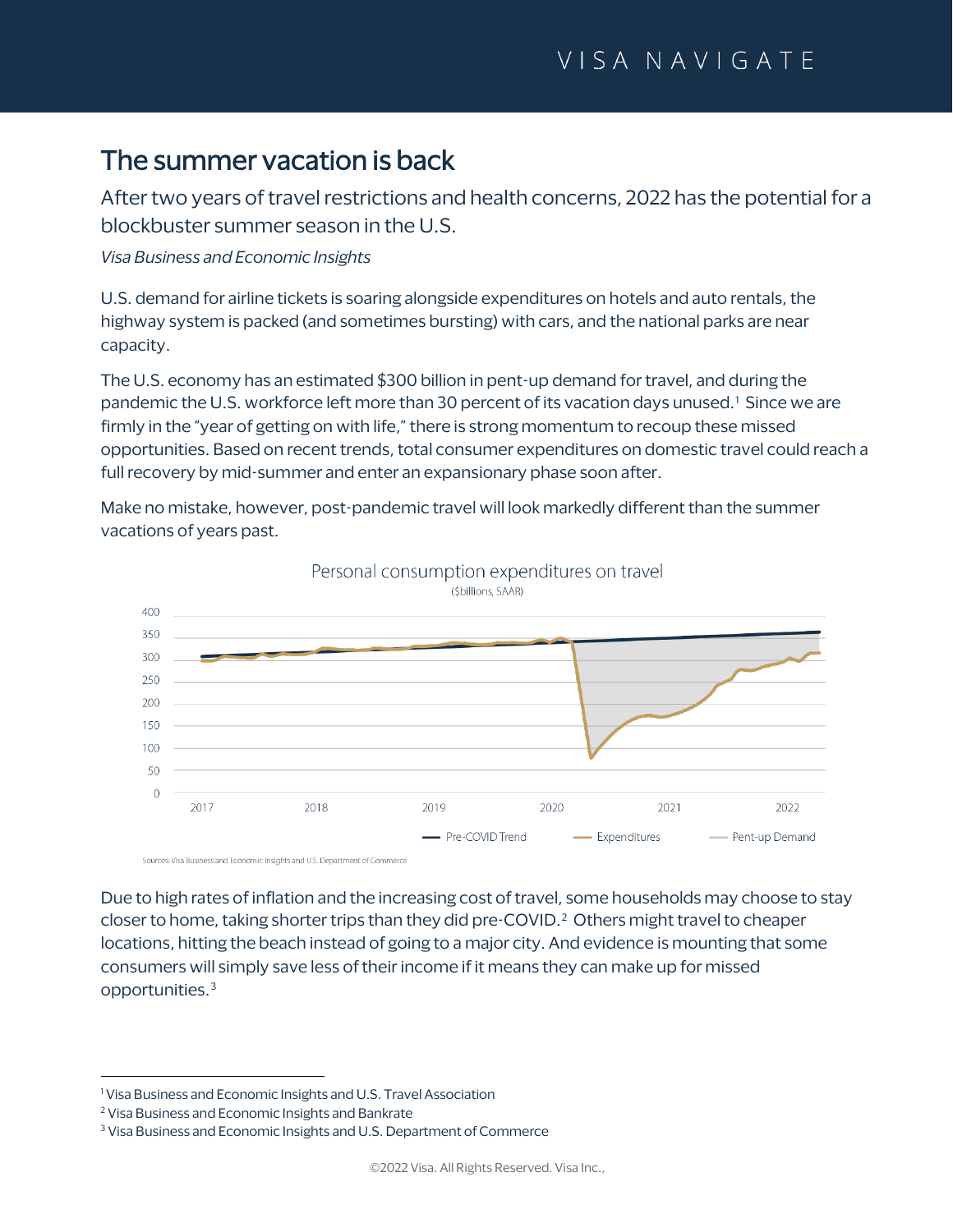# The summer vacation is back

After two years of travel restrictions and health concerns, 2022 has the potential for a blockbuster summer season in the U.S.

*Visa Business and Economic Insights*

U.S. demand for airline tickets is soaring alongside expenditures on hotels and auto rentals, the highway system is packed (and sometimes bursting) with cars, and the national parks are near capacity.

The U.S. economy has an estimated \$300 billion in pent-up demand for travel, and during the pandemic the U.S. workforce left more than 30 percent of its vacation days unused.<sup>[1](#page-0-0)</sup> Since we are firmly in the "year of getting on with life," there is strong momentum to recoup these missed opportunities. Based on recent trends, total consumer expenditures on domestic travel could reach a full recovery by mid-summer and enter an expansionary phase soon after.

Make no mistake, however, post-pandemic travel will look markedly different than the summer vacations of years past.



Sources: Visa Business and Economic Insights and U.S. Department of Commerce

Due to high rates of inflation and the increasing cost of travel, some households may choose to stay closer to home, taking shorter trips than they did pre-COVID.[2](#page-0-1) Others might travel to cheaper locations, hitting the beach instead of going to a major city. And evidence is mounting that some consumers will simply save less of their income if it means they can make up for missed opportunities.[3](#page-0-2)

<span id="page-0-0"></span><sup>1</sup> Visa Business and Economic Insights and U.S. Travel Association

<span id="page-0-1"></span><sup>2</sup> Visa Business and Economic Insights and Bankrate

<span id="page-0-2"></span><sup>&</sup>lt;sup>3</sup> Visa Business and Economic Insights and U.S. Department of Commerce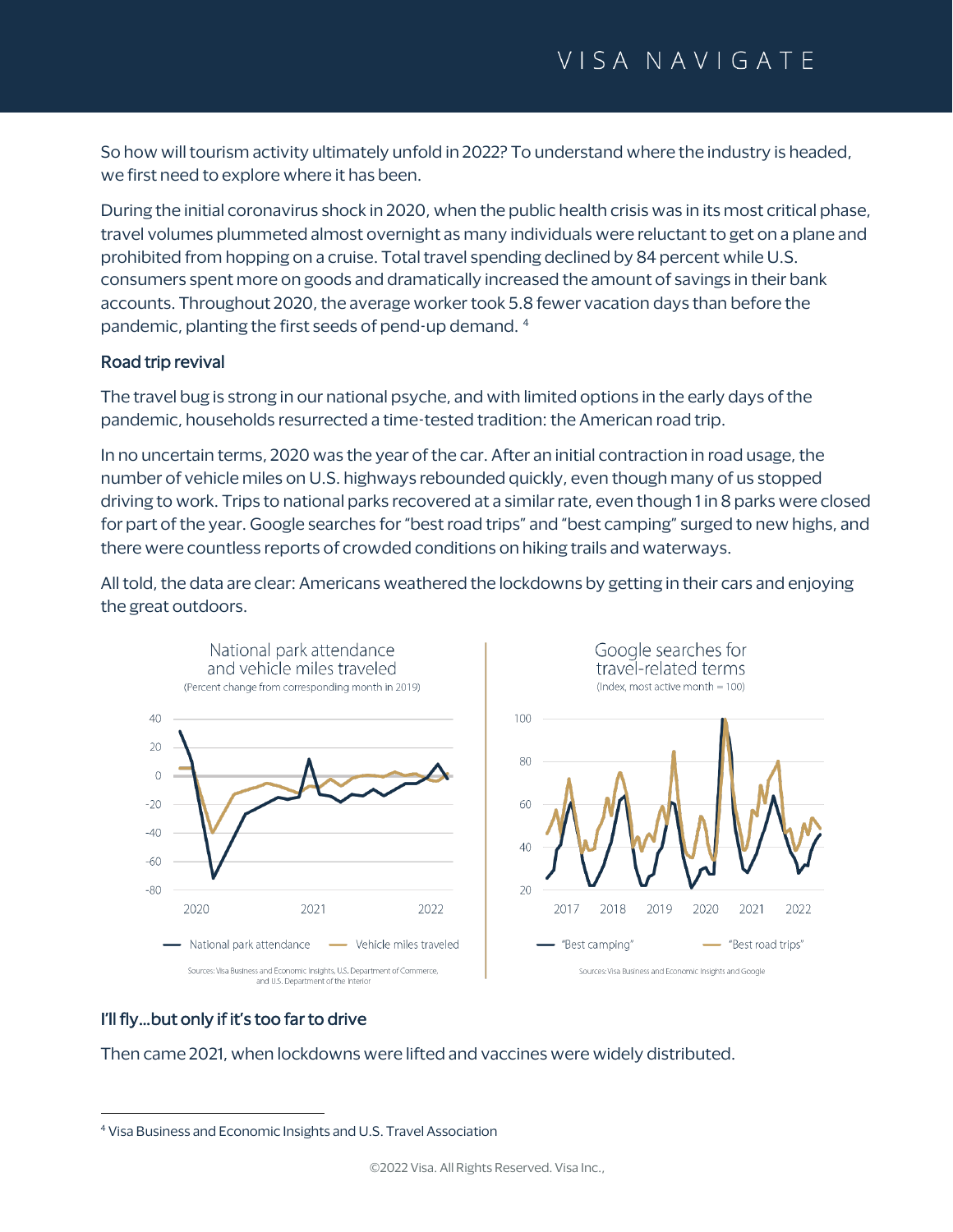So how will tourism activity ultimately unfold in 2022? To understand where the industry is headed, we first need to explore where it has been.

During the initial coronavirus shock in 2020, when the public health crisis was in its most critical phase, travel volumes plummeted almost overnight as many individuals were reluctant to get on a plane and prohibited from hopping on a cruise. Total travel spending declined by 84 percent while U.S. consumers spent more on goods and dramatically increased the amount of savings in their bank accounts. Throughout 2020, the average worker took 5.8 fewer vacation days than before the pandemic, planting the first seeds of pend-up demand. [4](#page-1-0)

## Road trip revival

The travel bug is strong in our national psyche, and with limited options in the early days of the pandemic, households resurrected a time-tested tradition: the American road trip.

In no uncertain terms, 2020 was the year of the car. After an initial contraction in road usage, the number of vehicle miles on U.S. highways rebounded quickly, even though many of us stopped driving to work. Trips to national parks recovered at a similar rate, even though 1 in 8 parks were closed for part of the year. Google searches for "best road trips" and "best camping" surged to new highs, and there were countless reports of crowded conditions on hiking trails and waterways.

All told, the data are clear: Americans weathered the lockdowns by getting in their cars and enjoying the great outdoors.



# I'll fly…but only if it's too far to drive

Then came 2021, when lockdowns were lifted and vaccines were widely distributed.

<span id="page-1-0"></span><sup>4</sup> Visa Business and Economic Insights and U.S. Travel Association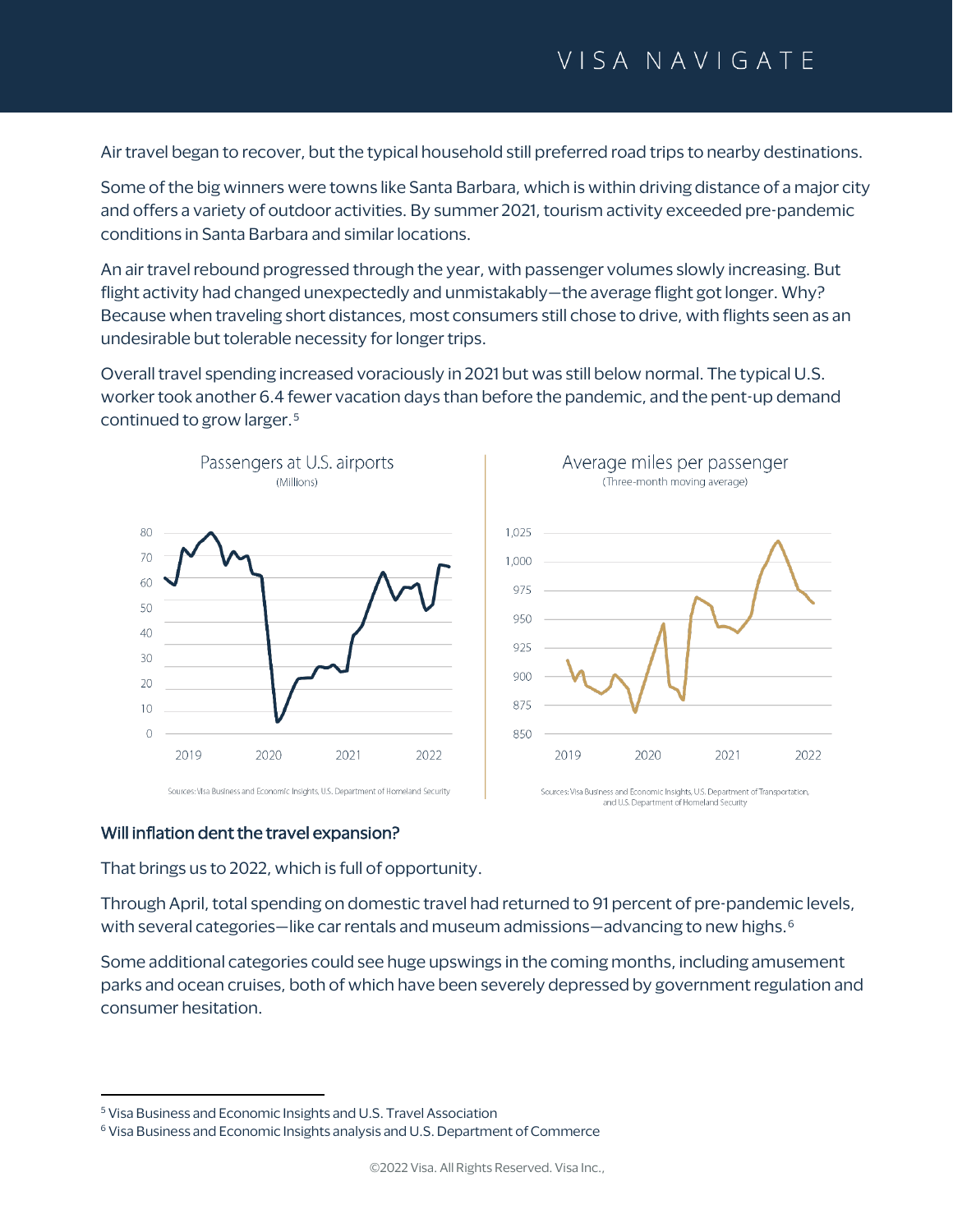Air travel began to recover, but the typical household still preferred road trips to nearby destinations.

Some of the big winners were towns like Santa Barbara, which is within driving distance of a major city and offers a variety of outdoor activities. By summer 2021, tourism activity exceeded pre-pandemic conditions in Santa Barbara and similar locations.

An air travel rebound progressed through the year, with passenger volumes slowly increasing. But flight activity had changed unexpectedly and unmistakably—the average flight got longer. Why? Because when traveling short distances, most consumers still chose to drive, with flights seen as an undesirable but tolerable necessity for longer trips.

Overall travel spending increased voraciously in 2021 but was still below normal. The typical U.S. worker took another 6.4 fewer vacation days than before the pandemic, and the pent-up demand continued to grow larger.[5](#page-2-0)



#### Will inflation dent the travel expansion?

That brings us to 2022, which is full of opportunity.

Through April, total spending on domestic travel had returned to 91 percent of pre-pandemic levels, with several categories—like car rentals and museum admissions—advancing to new highs. $6$ 

Some additional categories could see huge upswings in the coming months, including amusement parks and ocean cruises, both of which have been severely depressed by government regulation and consumer hesitation.

<span id="page-2-0"></span><sup>5</sup> Visa Business and Economic Insights and U.S. Travel Association

<span id="page-2-1"></span><sup>&</sup>lt;sup>6</sup> Visa Business and Economic Insights analysis and U.S. Department of Commerce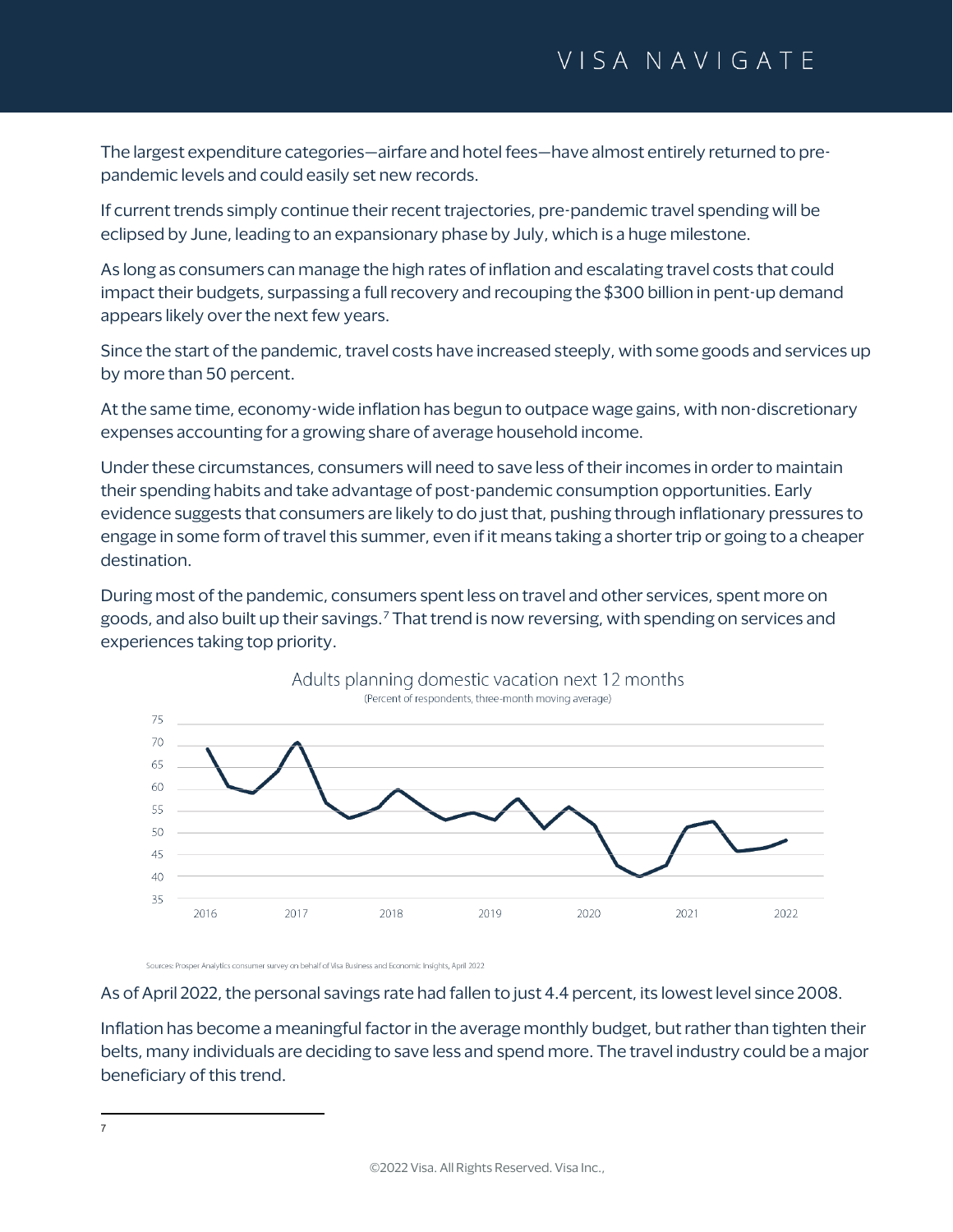The largest expenditure categories—airfare and hotel fees—have almost entirely returned to prepandemic levels and could easily set new records.

If current trends simply continue their recent trajectories, pre-pandemic travel spending will be eclipsed by June, leading to an expansionary phase by July, which is a huge milestone.

As long as consumers can manage the high rates of inflation and escalating travel costs that could impact their budgets, surpassing a full recovery and recouping the \$300 billion in pent-up demand appears likely over the next few years.

Since the start of the pandemic, travel costs have increased steeply, with some goods and services up by more than 50 percent.

At the same time, economy-wide inflation has begun to outpace wage gains, with non-discretionary expenses accounting for a growing share of average household income.

Under these circumstances, consumers will need to save less of their incomes in order to maintain their spending habits and take advantage of post-pandemic consumption opportunities. Early evidence suggests that consumers are likely to do just that, pushing through inflationary pressures to engage in some form of travel this summer, even if it means taking a shorter trip or going to a cheaper destination.

During most of the pandemic, consumers spent less on travel and other services, spent more on goods, and also built up their savings.[7](#page-3-0) That trend is now reversing, with spending on services and experiences taking top priority.



Adults planning domestic vacation next 12 months

Sources: Prosper Analytics consumer survey on behalf of Visa Business and Economic Insights, April 2022

As of April 2022, the personal savings rate had fallen to just 4.4 percent, its lowest level since 2008.

Inflation has become a meaningful factor in the average monthly budget, but rather than tighten their belts, many individuals are deciding to save less and spend more. The travel industry could be a major beneficiary of this trend.

<span id="page-3-0"></span>7

<sup>©2022</sup> Visa. All Rights Reserved. Visa Inc.,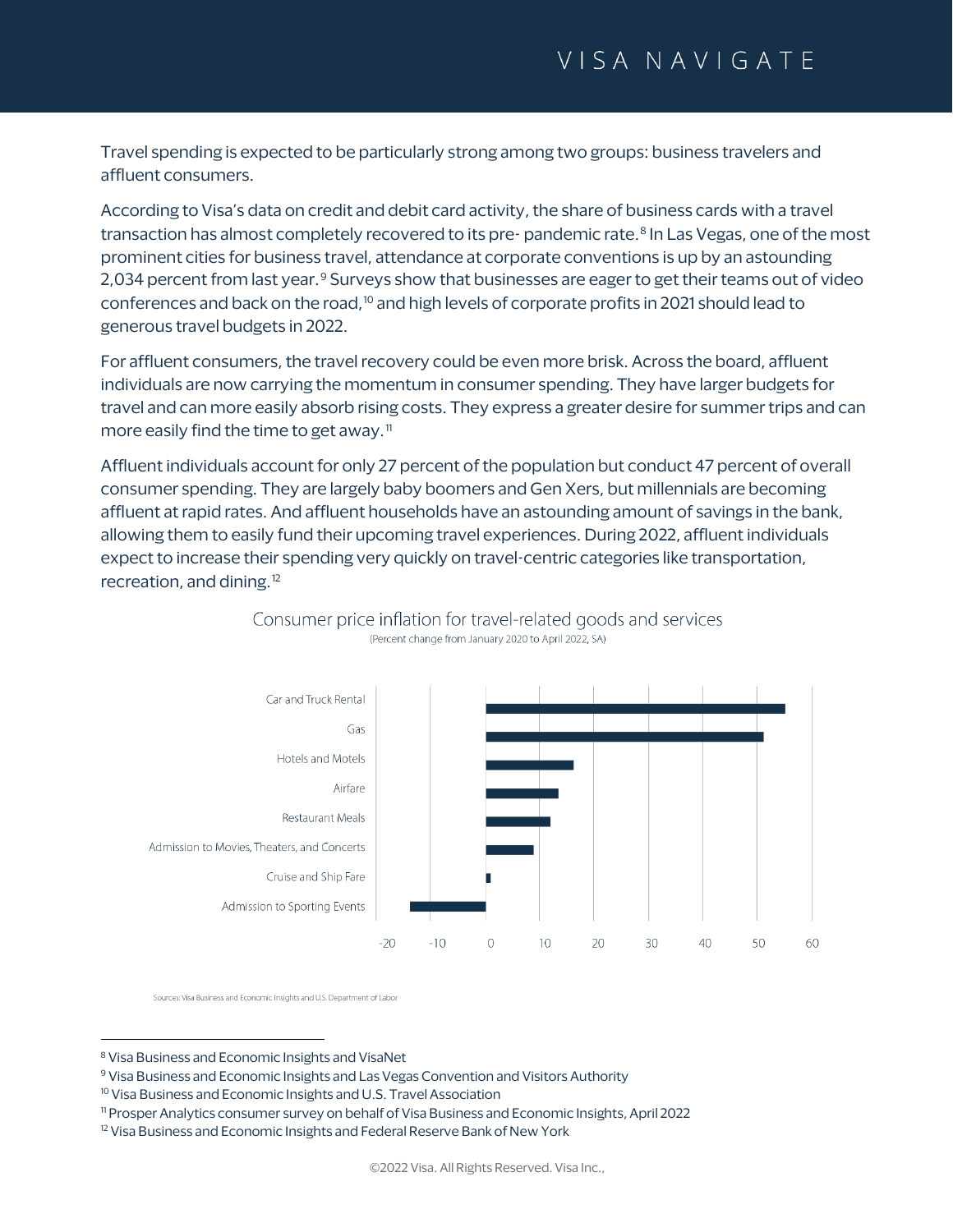Travel spending is expected to be particularly strong among two groups: business travelers and affluent consumers.

According to Visa's data on credit and debit card activity, the share of business cards with a travel transaction has almost completely recovered to its pre- pandemic rate.<sup>[8](#page-4-0)</sup> In Las Vegas, one of the most prominent cities for business travel, attendance at corporate conventions is up by an astounding 2,034 percent from last year.<sup>[9](#page-4-1)</sup> Surveys show that businesses are eager to get their teams out of video conferences and back on the road,<sup>[10](#page-4-2)</sup> and high levels of corporate profits in 2021 should lead to generous travel budgets in 2022.

For affluent consumers, the travel recovery could be even more brisk. Across the board, affluent individuals are now carrying the momentum in consumer spending. They have larger budgets for travel and can more easily absorb rising costs. They express a greater desire for summer trips and can more easily find the time to get away.<sup>[11](#page-4-3)</sup>

Affluent individuals account for only 27 percent of the population but conduct 47 percent of overall consumer spending. They are largely baby boomers and Gen Xers, but millennials are becoming affluent at rapid rates. And affluent households have an astounding amount of savings in the bank, allowing them to easily fund their upcoming travel experiences. During 2022, affluent individuals expect to increase their spending very quickly on travel-centric categories like transportation, recreation, and dining.[12](#page-4-4)



Consumer price inflation for travel-related goods and services (Percent change from January 2020 to April 2022, SA)

Sources: Visa Business and Economic Insights and U.S. Department of Labor

<span id="page-4-0"></span><sup>8</sup> Visa Business and Economic Insights and VisaNet

<span id="page-4-1"></span><sup>&</sup>lt;sup>9</sup> Visa Business and Economic Insights and Las Vegas Convention and Visitors Authority

<span id="page-4-2"></span><sup>&</sup>lt;sup>10</sup> Visa Business and Economic Insights and U.S. Travel Association

<span id="page-4-3"></span><sup>11</sup> Prosper Analytics consumer survey on behalf of Visa Business and Economic Insights, April 2022

<span id="page-4-4"></span><sup>&</sup>lt;sup>12</sup> Visa Business and Economic Insights and Federal Reserve Bank of New York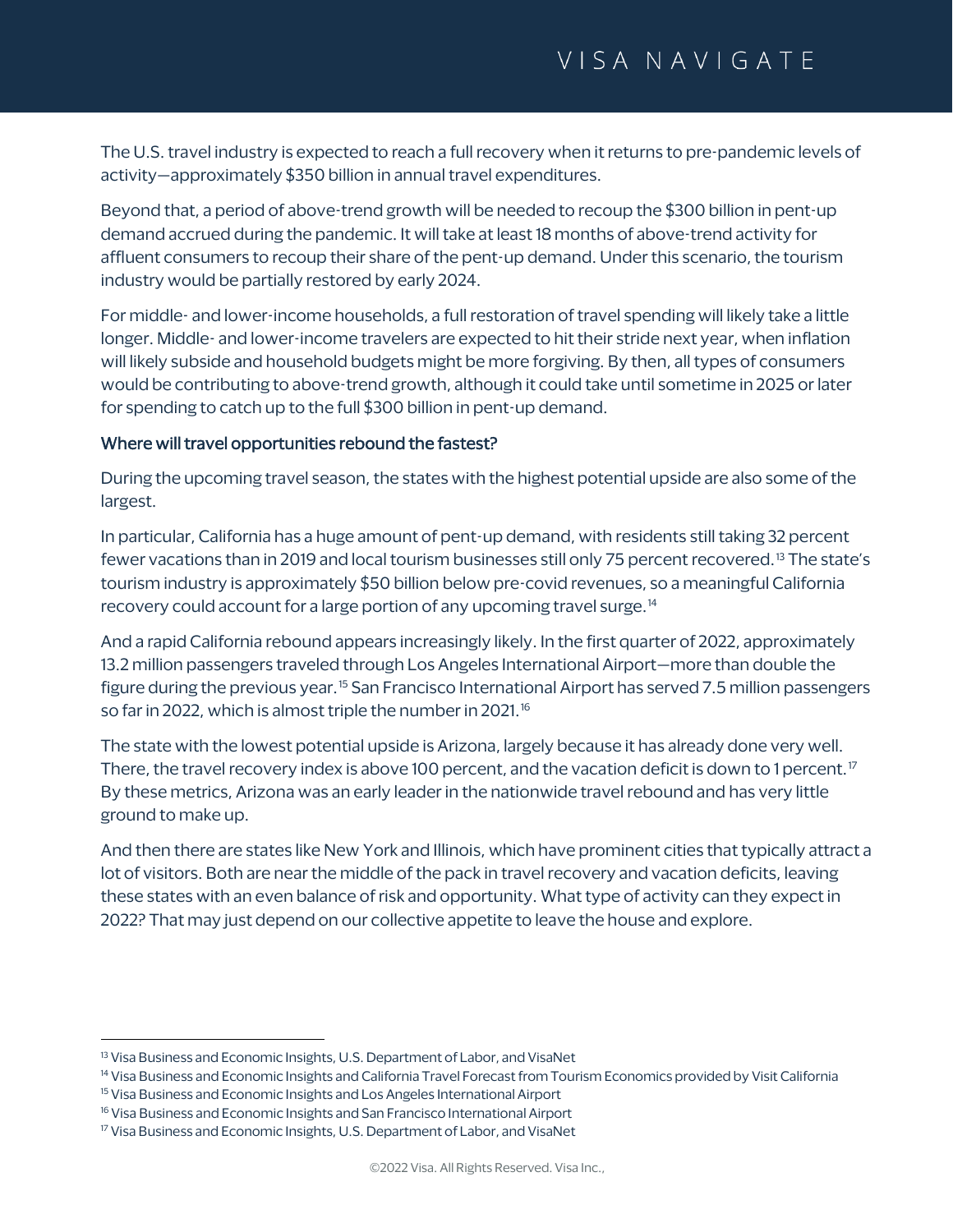The U.S. travel industry is expected to reach a full recovery when it returns to pre-pandemic levels of activity—approximately \$350 billion in annual travel expenditures.

Beyond that, a period of above-trend growth will be needed to recoup the \$300 billion in pent-up demand accrued during the pandemic. It will take at least 18 months of above-trend activity for affluent consumers to recoup their share of the pent-up demand. Under this scenario, the tourism industry would be partially restored by early 2024.

For middle- and lower-income households, a full restoration of travel spending will likely take a little longer. Middle- and lower-income travelers are expected to hit their stride next year, when inflation will likely subside and household budgets might be more forgiving. By then, all types of consumers would be contributing to above-trend growth, although it could take until sometime in 2025 or later for spending to catch up to the full \$300 billion in pent-up demand.

### Where will travel opportunities rebound the fastest?

During the upcoming travel season, the states with the highest potential upside are also some of the largest.

In particular, California has a huge amount of pent-up demand, with residents still taking 32 percent fewer vacations than in 2019 and local tourism businesses still only 75 percent recovered.<sup>[13](#page-5-0)</sup> The state's tourism industry is approximately \$50 billion below pre-covid revenues, so a meaningful California recovery could account for a large portion of any upcoming travel surge.<sup>[14](#page-5-1)</sup>

And a rapid California rebound appears increasingly likely. In the first quarter of 2022, approximately 13.2 million passengers traveled through Los Angeles International Airport—more than double the figure during the previous year.<sup>[15](#page-5-2)</sup> San Francisco International Airport has served 7.5 million passengers so far in 2022, which is almost triple the number in 2021.<sup>[16](#page-5-3)</sup>

The state with the lowest potential upside is Arizona, largely because it has already done very well. There, the travel recovery index is above 100 percent, and the vacation deficit is down to 1 percent.<sup>17</sup> By these metrics, Arizona was an early leader in the nationwide travel rebound and has very little ground to make up.

And then there are states like New York and Illinois, which have prominent cities that typically attract a lot of visitors. Both are near the middle of the pack in travel recovery and vacation deficits, leaving these states with an even balance of risk and opportunity. What type of activity can they expect in 2022? That may just depend on our collective appetite to leave the house and explore.

<span id="page-5-0"></span><sup>&</sup>lt;sup>13</sup> Visa Business and Economic Insights, U.S. Department of Labor, and VisaNet

<span id="page-5-1"></span><sup>&</sup>lt;sup>14</sup> Visa Business and Economic Insights and California Travel Forecast from Tourism Economics provided by Visit California

<span id="page-5-2"></span><sup>&</sup>lt;sup>15</sup> Visa Business and Economic Insights and Los Angeles International Airport

<span id="page-5-4"></span><span id="page-5-3"></span><sup>&</sup>lt;sup>16</sup> Visa Business and Economic Insights and San Francisco International Airport

<sup>&</sup>lt;sup>17</sup> Visa Business and Economic Insights, U.S. Department of Labor, and VisaNet